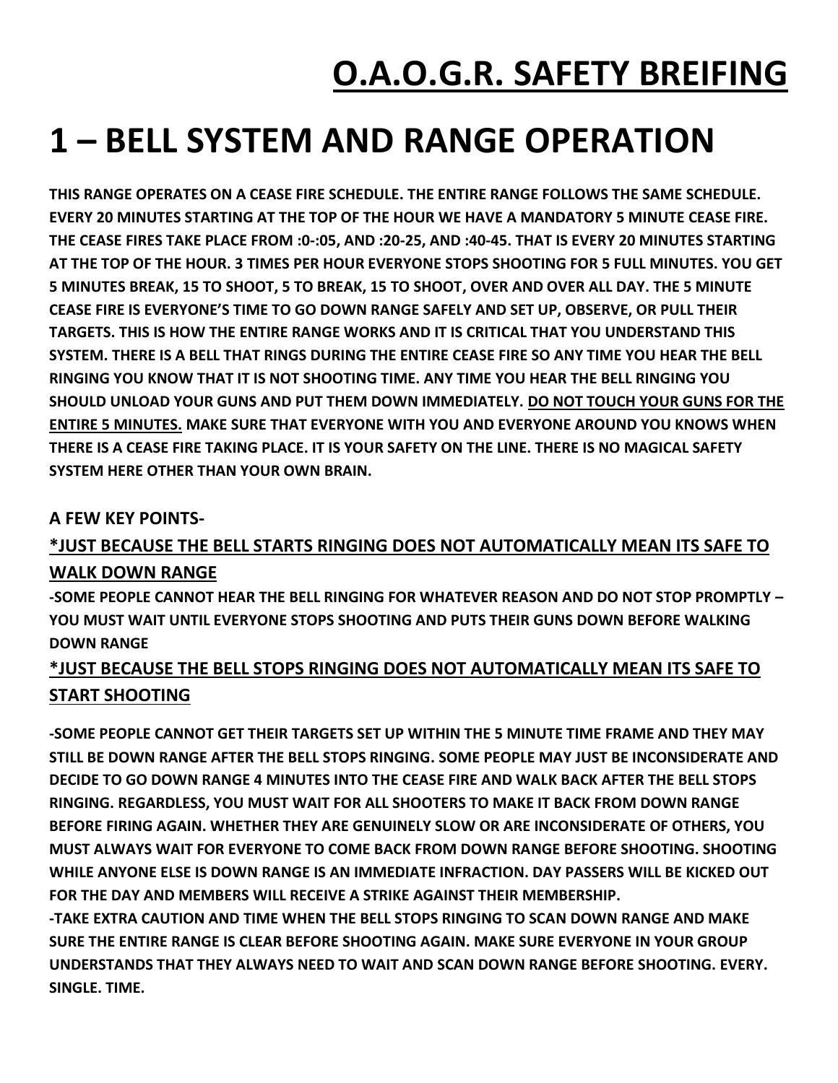## **O.A.O.G.R. SAFETY BREIFING**

## **1 – BELL SYSTEM AND RANGE OPERATION**

**THIS RANGE OPERATES ON A CEASE FIRE SCHEDULE. THE ENTIRE RANGE FOLLOWS THE SAME SCHEDULE. EVERY 20 MINUTES STARTING AT THE TOP OF THE HOUR WE HAVE A MANDATORY 5 MINUTE CEASE FIRE. THE CEASE FIRES TAKE PLACE FROM :0-:05, AND :20-25, AND :40-45. THAT IS EVERY 20 MINUTES STARTING AT THE TOP OF THE HOUR. 3 TIMES PER HOUR EVERYONE STOPS SHOOTING FOR 5 FULL MINUTES. YOU GET 5 MINUTES BREAK, 15 TO SHOOT, 5 TO BREAK, 15 TO SHOOT, OVER AND OVER ALL DAY. THE 5 MINUTE CEASE FIRE IS EVERYONE'S TIME TO GO DOWN RANGE SAFELY AND SET UP, OBSERVE, OR PULL THEIR TARGETS. THIS IS HOW THE ENTIRE RANGE WORKS AND IT IS CRITICAL THAT YOU UNDERSTAND THIS SYSTEM. THERE IS A BELL THAT RINGS DURING THE ENTIRE CEASE FIRE SO ANY TIME YOU HEAR THE BELL RINGING YOU KNOW THAT IT IS NOT SHOOTING TIME. ANY TIME YOU HEAR THE BELL RINGING YOU SHOULD UNLOAD YOUR GUNS AND PUT THEM DOWN IMMEDIATELY. DO NOT TOUCH YOUR GUNS FOR THE ENTIRE 5 MINUTES. MAKE SURE THAT EVERYONE WITH YOU AND EVERYONE AROUND YOU KNOWS WHEN THERE IS A CEASE FIRE TAKING PLACE. IT IS YOUR SAFETY ON THE LINE. THERE IS NO MAGICAL SAFETY SYSTEM HERE OTHER THAN YOUR OWN BRAIN.**

#### **A FEW KEY POINTS-**

### **\*JUST BECAUSE THE BELL STARTS RINGING DOES NOT AUTOMATICALLY MEAN ITS SAFE TO WALK DOWN RANGE**

**-SOME PEOPLE CANNOT HEAR THE BELL RINGING FOR WHATEVER REASON AND DO NOT STOP PROMPTLY – YOU MUST WAIT UNTIL EVERYONE STOPS SHOOTING AND PUTS THEIR GUNS DOWN BEFORE WALKING DOWN RANGE**

### **\*JUST BECAUSE THE BELL STOPS RINGING DOES NOT AUTOMATICALLY MEAN ITS SAFE TO START SHOOTING**

**-SOME PEOPLE CANNOT GET THEIR TARGETS SET UP WITHIN THE 5 MINUTE TIME FRAME AND THEY MAY STILL BE DOWN RANGE AFTER THE BELL STOPS RINGING. SOME PEOPLE MAY JUST BE INCONSIDERATE AND DECIDE TO GO DOWN RANGE 4 MINUTES INTO THE CEASE FIRE AND WALK BACK AFTER THE BELL STOPS RINGING. REGARDLESS, YOU MUST WAIT FOR ALL SHOOTERS TO MAKE IT BACK FROM DOWN RANGE BEFORE FIRING AGAIN. WHETHER THEY ARE GENUINELY SLOW OR ARE INCONSIDERATE OF OTHERS, YOU MUST ALWAYS WAIT FOR EVERYONE TO COME BACK FROM DOWN RANGE BEFORE SHOOTING. SHOOTING WHILE ANYONE ELSE IS DOWN RANGE IS AN IMMEDIATE INFRACTION. DAY PASSERS WILL BE KICKED OUT FOR THE DAY AND MEMBERS WILL RECEIVE A STRIKE AGAINST THEIR MEMBERSHIP.**

**-TAKE EXTRA CAUTION AND TIME WHEN THE BELL STOPS RINGING TO SCAN DOWN RANGE AND MAKE SURE THE ENTIRE RANGE IS CLEAR BEFORE SHOOTING AGAIN. MAKE SURE EVERYONE IN YOUR GROUP UNDERSTANDS THAT THEY ALWAYS NEED TO WAIT AND SCAN DOWN RANGE BEFORE SHOOTING. EVERY. SINGLE. TIME.**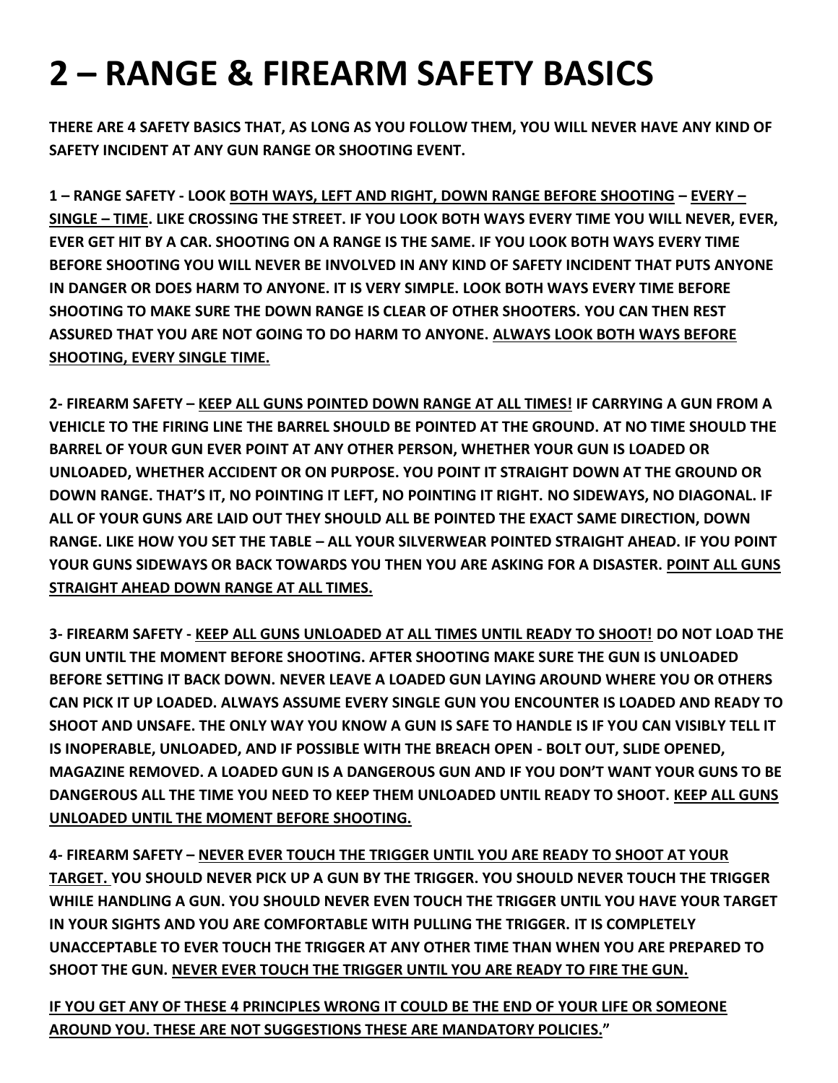# **2 – RANGE & FIREARM SAFETY BASICS**

**THERE ARE 4 SAFETY BASICS THAT, AS LONG AS YOU FOLLOW THEM, YOU WILL NEVER HAVE ANY KIND OF SAFETY INCIDENT AT ANY GUN RANGE OR SHOOTING EVENT.**

**1 – RANGE SAFETY - LOOK BOTH WAYS, LEFT AND RIGHT, DOWN RANGE BEFORE SHOOTING – EVERY – SINGLE – TIME. LIKE CROSSING THE STREET. IF YOU LOOK BOTH WAYS EVERY TIME YOU WILL NEVER, EVER, EVER GET HIT BY A CAR. SHOOTING ON A RANGE IS THE SAME. IF YOU LOOK BOTH WAYS EVERY TIME BEFORE SHOOTING YOU WILL NEVER BE INVOLVED IN ANY KIND OF SAFETY INCIDENT THAT PUTS ANYONE IN DANGER OR DOES HARM TO ANYONE. IT IS VERY SIMPLE. LOOK BOTH WAYS EVERY TIME BEFORE SHOOTING TO MAKE SURE THE DOWN RANGE IS CLEAR OF OTHER SHOOTERS. YOU CAN THEN REST ASSURED THAT YOU ARE NOT GOING TO DO HARM TO ANYONE. ALWAYS LOOK BOTH WAYS BEFORE SHOOTING, EVERY SINGLE TIME.**

**2- FIREARM SAFETY – KEEP ALL GUNS POINTED DOWN RANGE AT ALL TIMES! IF CARRYING A GUN FROM A VEHICLE TO THE FIRING LINE THE BARREL SHOULD BE POINTED AT THE GROUND. AT NO TIME SHOULD THE BARREL OF YOUR GUN EVER POINT AT ANY OTHER PERSON, WHETHER YOUR GUN IS LOADED OR UNLOADED, WHETHER ACCIDENT OR ON PURPOSE. YOU POINT IT STRAIGHT DOWN AT THE GROUND OR DOWN RANGE. THAT'S IT, NO POINTING IT LEFT, NO POINTING IT RIGHT. NO SIDEWAYS, NO DIAGONAL. IF ALL OF YOUR GUNS ARE LAID OUT THEY SHOULD ALL BE POINTED THE EXACT SAME DIRECTION, DOWN RANGE. LIKE HOW YOU SET THE TABLE – ALL YOUR SILVERWEAR POINTED STRAIGHT AHEAD. IF YOU POINT YOUR GUNS SIDEWAYS OR BACK TOWARDS YOU THEN YOU ARE ASKING FOR A DISASTER. POINT ALL GUNS STRAIGHT AHEAD DOWN RANGE AT ALL TIMES.**

**3- FIREARM SAFETY - KEEP ALL GUNS UNLOADED AT ALL TIMES UNTIL READY TO SHOOT! DO NOT LOAD THE GUN UNTIL THE MOMENT BEFORE SHOOTING. AFTER SHOOTING MAKE SURE THE GUN IS UNLOADED BEFORE SETTING IT BACK DOWN. NEVER LEAVE A LOADED GUN LAYING AROUND WHERE YOU OR OTHERS CAN PICK IT UP LOADED. ALWAYS ASSUME EVERY SINGLE GUN YOU ENCOUNTER IS LOADED AND READY TO SHOOT AND UNSAFE. THE ONLY WAY YOU KNOW A GUN IS SAFE TO HANDLE IS IF YOU CAN VISIBLY TELL IT IS INOPERABLE, UNLOADED, AND IF POSSIBLE WITH THE BREACH OPEN - BOLT OUT, SLIDE OPENED, MAGAZINE REMOVED. A LOADED GUN IS A DANGEROUS GUN AND IF YOU DON'T WANT YOUR GUNS TO BE DANGEROUS ALL THE TIME YOU NEED TO KEEP THEM UNLOADED UNTIL READY TO SHOOT. KEEP ALL GUNS UNLOADED UNTIL THE MOMENT BEFORE SHOOTING.**

**4- FIREARM SAFETY – NEVER EVER TOUCH THE TRIGGER UNTIL YOU ARE READY TO SHOOT AT YOUR TARGET. YOU SHOULD NEVER PICK UP A GUN BY THE TRIGGER. YOU SHOULD NEVER TOUCH THE TRIGGER WHILE HANDLING A GUN. YOU SHOULD NEVER EVEN TOUCH THE TRIGGER UNTIL YOU HAVE YOUR TARGET IN YOUR SIGHTS AND YOU ARE COMFORTABLE WITH PULLING THE TRIGGER. IT IS COMPLETELY UNACCEPTABLE TO EVER TOUCH THE TRIGGER AT ANY OTHER TIME THAN WHEN YOU ARE PREPARED TO SHOOT THE GUN. NEVER EVER TOUCH THE TRIGGER UNTIL YOU ARE READY TO FIRE THE GUN.**

**IF YOU GET ANY OF THESE 4 PRINCIPLES WRONG IT COULD BE THE END OF YOUR LIFE OR SOMEONE AROUND YOU. THESE ARE NOT SUGGESTIONS THESE ARE MANDATORY POLICIES."**